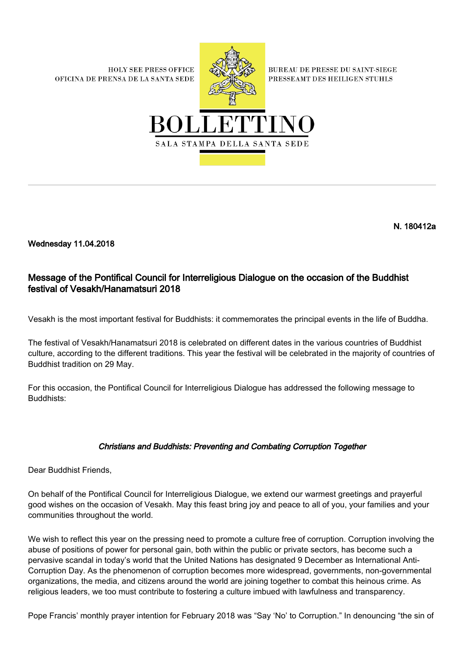**HOLY SEE PRESS OFFICE** OFICINA DE PRENSA DE LA SANTA SEDE



**BUREAU DE PRESSE DU SAINT-SIEGE** PRESSEAMT DES HEILIGEN STUHLS



N. 180412a

Wednesday 11.04.2018

## Message of the Pontifical Council for Interreligious Dialogue on the occasion of the Buddhist festival of Vesakh/Hanamatsuri 2018

Vesakh is the most important festival for Buddhists: it commemorates the principal events in the life of Buddha.

The festival of Vesakh/Hanamatsuri 2018 is celebrated on different dates in the various countries of Buddhist culture, according to the different traditions. This year the festival will be celebrated in the majority of countries of Buddhist tradition on 29 May.

For this occasion, the Pontifical Council for Interreligious Dialogue has addressed the following message to Buddhists:

## Christians and Buddhists: Preventing and Combating Corruption Together

Dear Buddhist Friends,

On behalf of the Pontifical Council for Interreligious Dialogue, we extend our warmest greetings and prayerful good wishes on the occasion of Vesakh. May this feast bring joy and peace to all of you, your families and your communities throughout the world.

We wish to reflect this year on the pressing need to promote a culture free of corruption. Corruption involving the abuse of positions of power for personal gain, both within the public or private sectors, has become such a pervasive scandal in today's world that the United Nations has designated 9 December as International Anti-Corruption Day. As the phenomenon of corruption becomes more widespread, governments, non-governmental organizations, the media, and citizens around the world are joining together to combat this heinous crime. As religious leaders, we too must contribute to fostering a culture imbued with lawfulness and transparency.

Pope Francis' monthly prayer intention for February 2018 was "Say 'No' to Corruption." In denouncing "the sin of